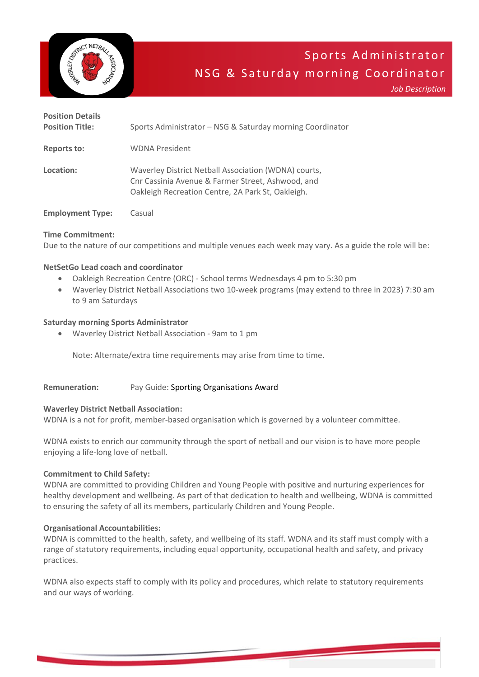

*Job Description*

| <b>Position Details</b><br><b>Position Title:</b> | Sports Administrator – NSG & Saturday morning Coordinator                                                                                                      |
|---------------------------------------------------|----------------------------------------------------------------------------------------------------------------------------------------------------------------|
| <b>Reports to:</b>                                | <b>WDNA President</b>                                                                                                                                          |
| Location:                                         | Waverley District Netball Association (WDNA) courts,<br>Chr Cassinia Avenue & Farmer Street, Ashwood, and<br>Oakleigh Recreation Centre, 2A Park St, Oakleigh. |
| <b>Employment Type:</b>                           | Casual                                                                                                                                                         |

# **Time Commitment:**

Due to the nature of our competitions and multiple venues each week may vary. As a guide the role will be:

# **NetSetGo Lead coach and coordinator**

- Oakleigh Recreation Centre (ORC) School terms Wednesdays 4 pm to 5:30 pm
- Waverley District Netball Associations two 10-week programs (may extend to three in 2023) 7:30 am to 9 am Saturdays

# **Saturday morning Sports Administrator**

• Waverley District Netball Association - 9am to 1 pm

Note: Alternate/extra time requirements may arise from time to time.

# **Remuneration:** Pay Guide: Sporting Organisations Award

# **Waverley District Netball Association:**

WDNA is a not for profit, member-based organisation which is governed by a volunteer committee.

WDNA exists to enrich our community through the sport of netball and our vision is to have more people enjoying a life-long love of netball.

# **Commitment to Child Safety:**

WDNA are committed to providing Children and Young People with positive and nurturing experiences for healthy development and wellbeing. As part of that dedication to health and wellbeing, WDNA is committed to ensuring the safety of all its members, particularly Children and Young People.

# **Organisational Accountabilities:**

WDNA is committed to the health, safety, and wellbeing of its staff. WDNA and its staff must comply with a range of statutory requirements, including equal opportunity, occupational health and safety, and privacy practices.

WDNA also expects staff to comply with its policy and procedures, which relate to statutory requirements and our ways of working.

ww.sportscommunity.com.au 1970. The community of the community of the community of the community of the community of the community of the community of the community of the community of the community of the community of the